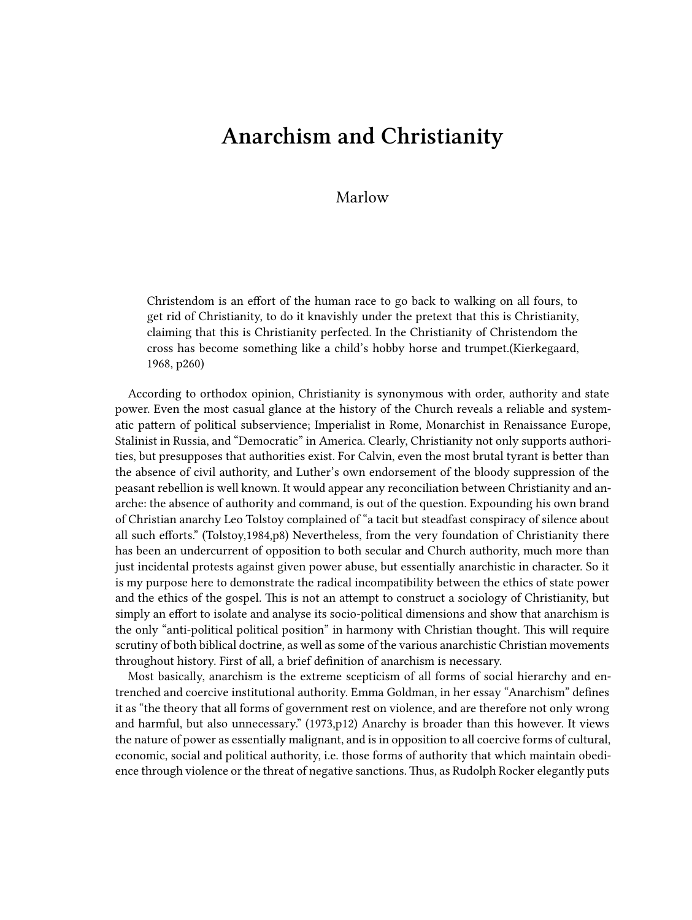## **Anarchism and Christianity**

## Marlow

Christendom is an effort of the human race to go back to walking on all fours, to get rid of Christianity, to do it knavishly under the pretext that this is Christianity, claiming that this is Christianity perfected. In the Christianity of Christendom the cross has become something like a child's hobby horse and trumpet.(Kierkegaard, 1968, p260)

According to orthodox opinion, Christianity is synonymous with order, authority and state power. Even the most casual glance at the history of the Church reveals a reliable and systematic pattern of political subservience; Imperialist in Rome, Monarchist in Renaissance Europe, Stalinist in Russia, and "Democratic" in America. Clearly, Christianity not only supports authorities, but presupposes that authorities exist. For Calvin, even the most brutal tyrant is better than the absence of civil authority, and Luther's own endorsement of the bloody suppression of the peasant rebellion is well known. It would appear any reconciliation between Christianity and anarche: the absence of authority and command, is out of the question. Expounding his own brand of Christian anarchy Leo Tolstoy complained of "a tacit but steadfast conspiracy of silence about all such efforts." (Tolstoy,1984,p8) Nevertheless, from the very foundation of Christianity there has been an undercurrent of opposition to both secular and Church authority, much more than just incidental protests against given power abuse, but essentially anarchistic in character. So it is my purpose here to demonstrate the radical incompatibility between the ethics of state power and the ethics of the gospel. This is not an attempt to construct a sociology of Christianity, but simply an effort to isolate and analyse its socio-political dimensions and show that anarchism is the only "anti-political political position" in harmony with Christian thought. This will require scrutiny of both biblical doctrine, as well as some of the various anarchistic Christian movements throughout history. First of all, a brief definition of anarchism is necessary.

Most basically, anarchism is the extreme scepticism of all forms of social hierarchy and entrenched and coercive institutional authority. Emma Goldman, in her essay "Anarchism" defines it as "the theory that all forms of government rest on violence, and are therefore not only wrong and harmful, but also unnecessary." (1973,p12) Anarchy is broader than this however. It views the nature of power as essentially malignant, and is in opposition to all coercive forms of cultural, economic, social and political authority, i.e. those forms of authority that which maintain obedience through violence or the threat of negative sanctions. Thus, as Rudolph Rocker elegantly puts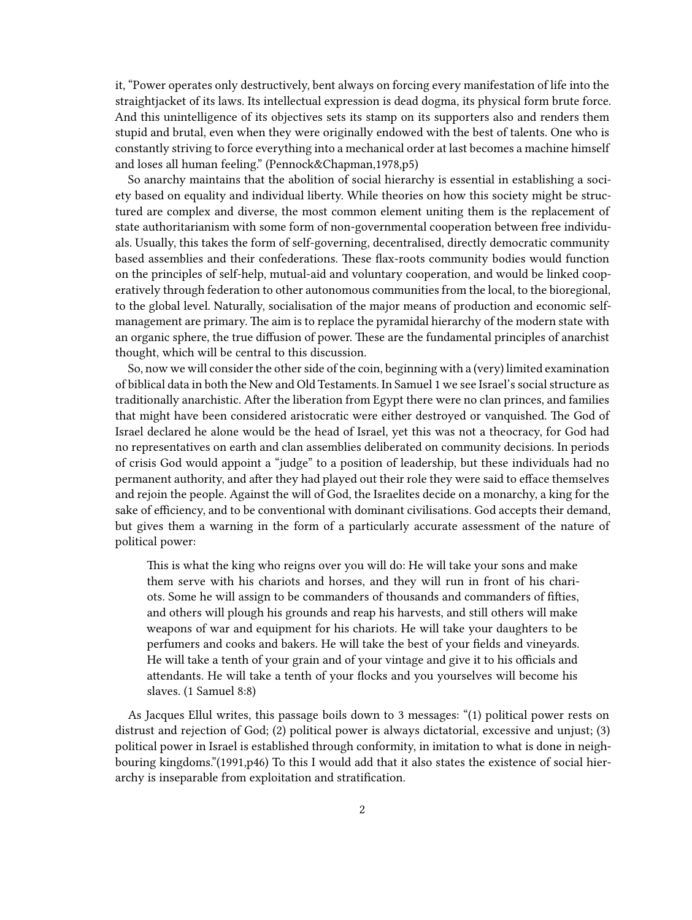it, "Power operates only destructively, bent always on forcing every manifestation of life into the straightjacket of its laws. Its intellectual expression is dead dogma, its physical form brute force. And this unintelligence of its objectives sets its stamp on its supporters also and renders them stupid and brutal, even when they were originally endowed with the best of talents. One who is constantly striving to force everything into a mechanical order at last becomes a machine himself and loses all human feeling." (Pennock&Chapman,1978,p5)

So anarchy maintains that the abolition of social hierarchy is essential in establishing a society based on equality and individual liberty. While theories on how this society might be structured are complex and diverse, the most common element uniting them is the replacement of state authoritarianism with some form of non-governmental cooperation between free individuals. Usually, this takes the form of self-governing, decentralised, directly democratic community based assemblies and their confederations. These flax-roots community bodies would function on the principles of self-help, mutual-aid and voluntary cooperation, and would be linked cooperatively through federation to other autonomous communities from the local, to the bioregional, to the global level. Naturally, socialisation of the major means of production and economic selfmanagement are primary. The aim is to replace the pyramidal hierarchy of the modern state with an organic sphere, the true diffusion of power. These are the fundamental principles of anarchist thought, which will be central to this discussion.

So, now we will consider the other side of the coin, beginning with a (very) limited examination of biblical data in both the New and Old Testaments. In Samuel 1 we see Israel's social structure as traditionally anarchistic. After the liberation from Egypt there were no clan princes, and families that might have been considered aristocratic were either destroyed or vanquished. The God of Israel declared he alone would be the head of Israel, yet this was not a theocracy, for God had no representatives on earth and clan assemblies deliberated on community decisions. In periods of crisis God would appoint a "judge" to a position of leadership, but these individuals had no permanent authority, and after they had played out their role they were said to efface themselves and rejoin the people. Against the will of God, the Israelites decide on a monarchy, a king for the sake of efficiency, and to be conventional with dominant civilisations. God accepts their demand, but gives them a warning in the form of a particularly accurate assessment of the nature of political power:

This is what the king who reigns over you will do: He will take your sons and make them serve with his chariots and horses, and they will run in front of his chariots. Some he will assign to be commanders of thousands and commanders of fifties, and others will plough his grounds and reap his harvests, and still others will make weapons of war and equipment for his chariots. He will take your daughters to be perfumers and cooks and bakers. He will take the best of your fields and vineyards. He will take a tenth of your grain and of your vintage and give it to his officials and attendants. He will take a tenth of your flocks and you yourselves will become his slaves. (1 Samuel 8:8)

As Jacques Ellul writes, this passage boils down to 3 messages: "(1) political power rests on distrust and rejection of God; (2) political power is always dictatorial, excessive and unjust; (3) political power in Israel is established through conformity, in imitation to what is done in neighbouring kingdoms."(1991,p46) To this I would add that it also states the existence of social hierarchy is inseparable from exploitation and stratification.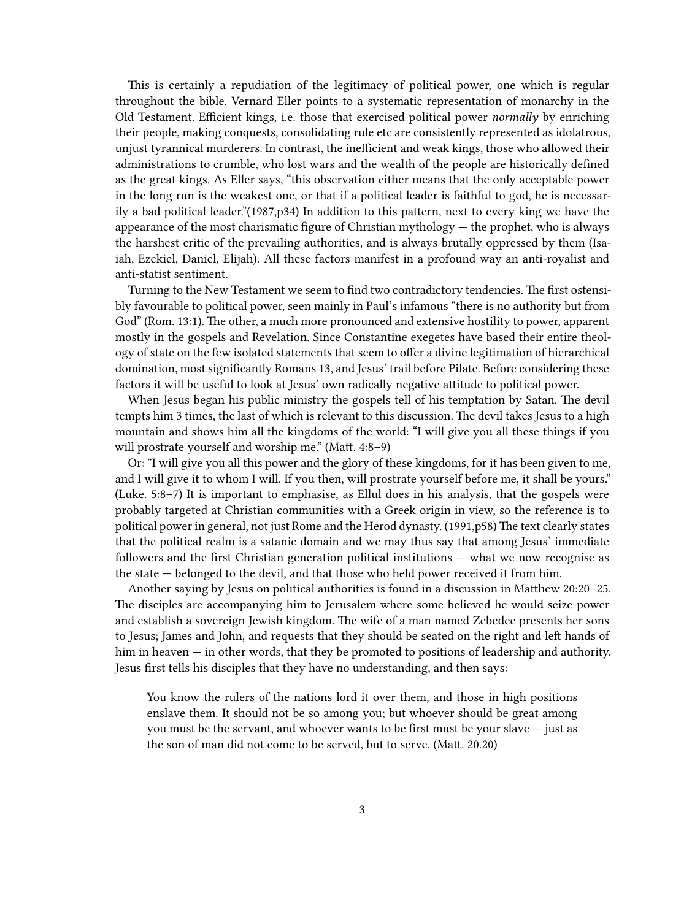This is certainly a repudiation of the legitimacy of political power, one which is regular throughout the bible. Vernard Eller points to a systematic representation of monarchy in the Old Testament. Efficient kings, i.e. those that exercised political power *normally* by enriching their people, making conquests, consolidating rule etc are consistently represented as idolatrous, unjust tyrannical murderers. In contrast, the inefficient and weak kings, those who allowed their administrations to crumble, who lost wars and the wealth of the people are historically defined as the great kings. As Eller says, "this observation either means that the only acceptable power in the long run is the weakest one, or that if a political leader is faithful to god, he is necessarily a bad political leader."(1987,p34) In addition to this pattern, next to every king we have the appearance of the most charismatic figure of Christian mythology — the prophet, who is always the harshest critic of the prevailing authorities, and is always brutally oppressed by them (Isaiah, Ezekiel, Daniel, Elijah). All these factors manifest in a profound way an anti-royalist and anti-statist sentiment.

Turning to the New Testament we seem to find two contradictory tendencies. The first ostensibly favourable to political power, seen mainly in Paul's infamous "there is no authority but from God" (Rom. 13:1). The other, a much more pronounced and extensive hostility to power, apparent mostly in the gospels and Revelation. Since Constantine exegetes have based their entire theology of state on the few isolated statements that seem to offer a divine legitimation of hierarchical domination, most significantly Romans 13, and Jesus' trail before Pilate. Before considering these factors it will be useful to look at Jesus' own radically negative attitude to political power.

When Jesus began his public ministry the gospels tell of his temptation by Satan. The devil tempts him 3 times, the last of which is relevant to this discussion. The devil takes Jesus to a high mountain and shows him all the kingdoms of the world: "I will give you all these things if you will prostrate yourself and worship me." (Matt. 4:8–9)

Or: "I will give you all this power and the glory of these kingdoms, for it has been given to me, and I will give it to whom I will. If you then, will prostrate yourself before me, it shall be yours." (Luke. 5:8–7) It is important to emphasise, as Ellul does in his analysis, that the gospels were probably targeted at Christian communities with a Greek origin in view, so the reference is to political power in general, not just Rome and the Herod dynasty. (1991,p58) The text clearly states that the political realm is a satanic domain and we may thus say that among Jesus' immediate followers and the first Christian generation political institutions — what we now recognise as the state — belonged to the devil, and that those who held power received it from him.

Another saying by Jesus on political authorities is found in a discussion in Matthew 20:20–25. The disciples are accompanying him to Jerusalem where some believed he would seize power and establish a sovereign Jewish kingdom. The wife of a man named Zebedee presents her sons to Jesus; James and John, and requests that they should be seated on the right and left hands of him in heaven — in other words, that they be promoted to positions of leadership and authority. Jesus first tells his disciples that they have no understanding, and then says:

You know the rulers of the nations lord it over them, and those in high positions enslave them. It should not be so among you; but whoever should be great among you must be the servant, and whoever wants to be first must be your slave — just as the son of man did not come to be served, but to serve. (Matt. 20.20)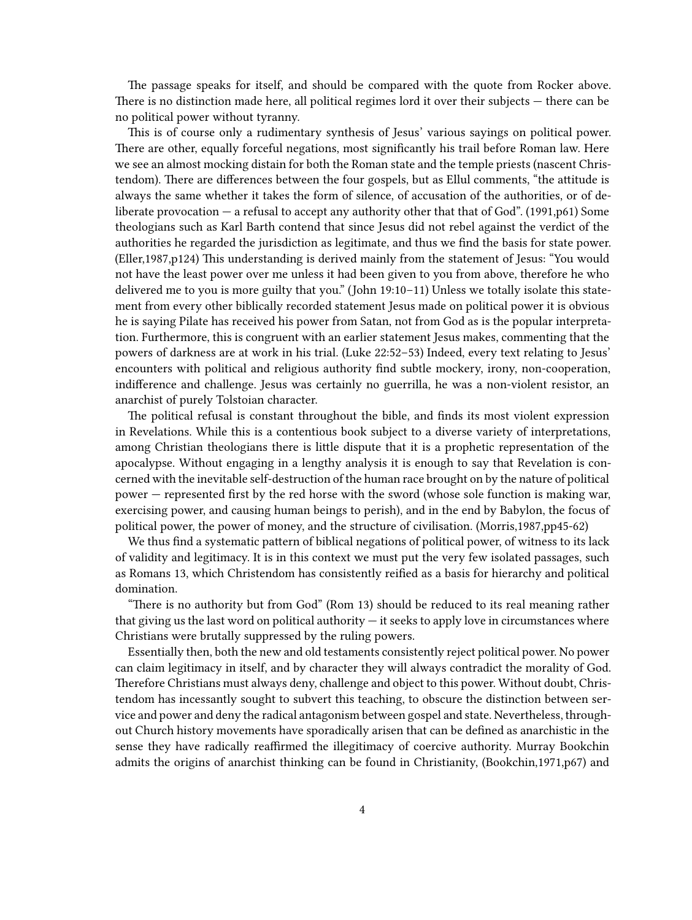The passage speaks for itself, and should be compared with the quote from Rocker above. There is no distinction made here, all political regimes lord it over their subjects — there can be no political power without tyranny.

This is of course only a rudimentary synthesis of Jesus' various sayings on political power. There are other, equally forceful negations, most significantly his trail before Roman law. Here we see an almost mocking distain for both the Roman state and the temple priests (nascent Christendom). There are differences between the four gospels, but as Ellul comments, "the attitude is always the same whether it takes the form of silence, of accusation of the authorities, or of deliberate provocation — a refusal to accept any authority other that that of God". (1991,p61) Some theologians such as Karl Barth contend that since Jesus did not rebel against the verdict of the authorities he regarded the jurisdiction as legitimate, and thus we find the basis for state power. (Eller,1987,p124) This understanding is derived mainly from the statement of Jesus: "You would not have the least power over me unless it had been given to you from above, therefore he who delivered me to you is more guilty that you." (John 19:10–11) Unless we totally isolate this statement from every other biblically recorded statement Jesus made on political power it is obvious he is saying Pilate has received his power from Satan, not from God as is the popular interpretation. Furthermore, this is congruent with an earlier statement Jesus makes, commenting that the powers of darkness are at work in his trial. (Luke 22:52–53) Indeed, every text relating to Jesus' encounters with political and religious authority find subtle mockery, irony, non-cooperation, indifference and challenge. Jesus was certainly no guerrilla, he was a non-violent resistor, an anarchist of purely Tolstoian character.

The political refusal is constant throughout the bible, and finds its most violent expression in Revelations. While this is a contentious book subject to a diverse variety of interpretations, among Christian theologians there is little dispute that it is a prophetic representation of the apocalypse. Without engaging in a lengthy analysis it is enough to say that Revelation is concerned with the inevitable self-destruction of the human race brought on by the nature of political power — represented first by the red horse with the sword (whose sole function is making war, exercising power, and causing human beings to perish), and in the end by Babylon, the focus of political power, the power of money, and the structure of civilisation. (Morris,1987,pp45-62)

We thus find a systematic pattern of biblical negations of political power, of witness to its lack of validity and legitimacy. It is in this context we must put the very few isolated passages, such as Romans 13, which Christendom has consistently reified as a basis for hierarchy and political domination.

"There is no authority but from God" (Rom 13) should be reduced to its real meaning rather that giving us the last word on political authority  $-$  it seeks to apply love in circumstances where Christians were brutally suppressed by the ruling powers.

Essentially then, both the new and old testaments consistently reject political power. No power can claim legitimacy in itself, and by character they will always contradict the morality of God. Therefore Christians must always deny, challenge and object to this power. Without doubt, Christendom has incessantly sought to subvert this teaching, to obscure the distinction between service and power and deny the radical antagonism between gospel and state. Nevertheless, throughout Church history movements have sporadically arisen that can be defined as anarchistic in the sense they have radically reaffirmed the illegitimacy of coercive authority. Murray Bookchin admits the origins of anarchist thinking can be found in Christianity, (Bookchin,1971,p67) and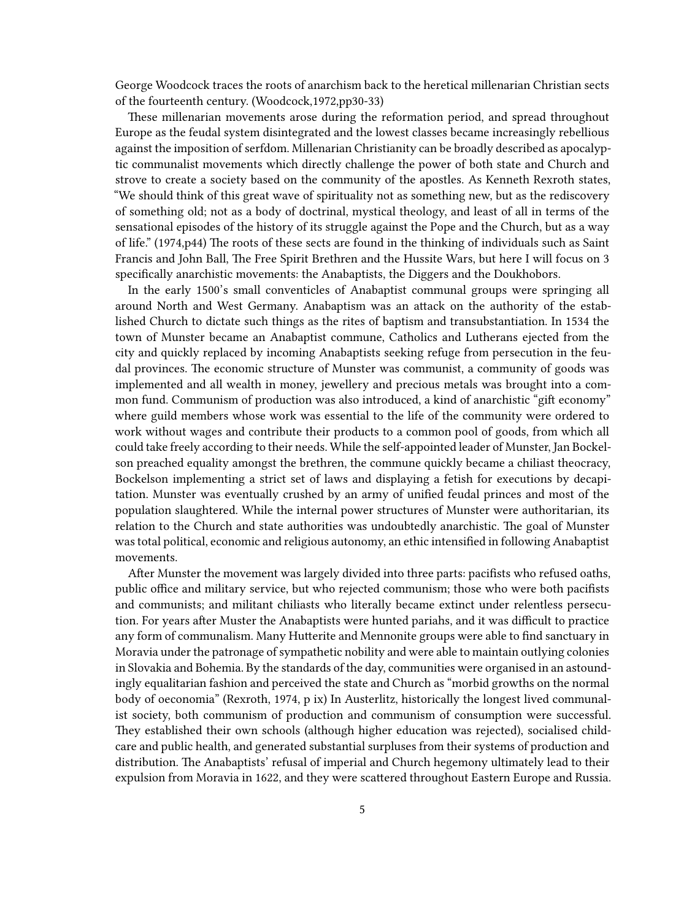George Woodcock traces the roots of anarchism back to the heretical millenarian Christian sects of the fourteenth century. (Woodcock,1972,pp30-33)

These millenarian movements arose during the reformation period, and spread throughout Europe as the feudal system disintegrated and the lowest classes became increasingly rebellious against the imposition of serfdom. Millenarian Christianity can be broadly described as apocalyptic communalist movements which directly challenge the power of both state and Church and strove to create a society based on the community of the apostles. As Kenneth Rexroth states, "We should think of this great wave of spirituality not as something new, but as the rediscovery of something old; not as a body of doctrinal, mystical theology, and least of all in terms of the sensational episodes of the history of its struggle against the Pope and the Church, but as a way of life." (1974,p44) The roots of these sects are found in the thinking of individuals such as Saint Francis and John Ball, The Free Spirit Brethren and the Hussite Wars, but here I will focus on 3 specifically anarchistic movements: the Anabaptists, the Diggers and the Doukhobors.

In the early 1500's small conventicles of Anabaptist communal groups were springing all around North and West Germany. Anabaptism was an attack on the authority of the established Church to dictate such things as the rites of baptism and transubstantiation. In 1534 the town of Munster became an Anabaptist commune, Catholics and Lutherans ejected from the city and quickly replaced by incoming Anabaptists seeking refuge from persecution in the feudal provinces. The economic structure of Munster was communist, a community of goods was implemented and all wealth in money, jewellery and precious metals was brought into a common fund. Communism of production was also introduced, a kind of anarchistic "gift economy" where guild members whose work was essential to the life of the community were ordered to work without wages and contribute their products to a common pool of goods, from which all could take freely according to their needs. While the self-appointed leader of Munster, Jan Bockelson preached equality amongst the brethren, the commune quickly became a chiliast theocracy, Bockelson implementing a strict set of laws and displaying a fetish for executions by decapitation. Munster was eventually crushed by an army of unified feudal princes and most of the population slaughtered. While the internal power structures of Munster were authoritarian, its relation to the Church and state authorities was undoubtedly anarchistic. The goal of Munster was total political, economic and religious autonomy, an ethic intensified in following Anabaptist movements.

After Munster the movement was largely divided into three parts: pacifists who refused oaths, public office and military service, but who rejected communism; those who were both pacifists and communists; and militant chiliasts who literally became extinct under relentless persecution. For years after Muster the Anabaptists were hunted pariahs, and it was difficult to practice any form of communalism. Many Hutterite and Mennonite groups were able to find sanctuary in Moravia under the patronage of sympathetic nobility and were able to maintain outlying colonies in Slovakia and Bohemia. By the standards of the day, communities were organised in an astoundingly equalitarian fashion and perceived the state and Church as "morbid growths on the normal body of oeconomia" (Rexroth, 1974, p ix) In Austerlitz, historically the longest lived communalist society, both communism of production and communism of consumption were successful. They established their own schools (although higher education was rejected), socialised childcare and public health, and generated substantial surpluses from their systems of production and distribution. The Anabaptists' refusal of imperial and Church hegemony ultimately lead to their expulsion from Moravia in 1622, and they were scattered throughout Eastern Europe and Russia.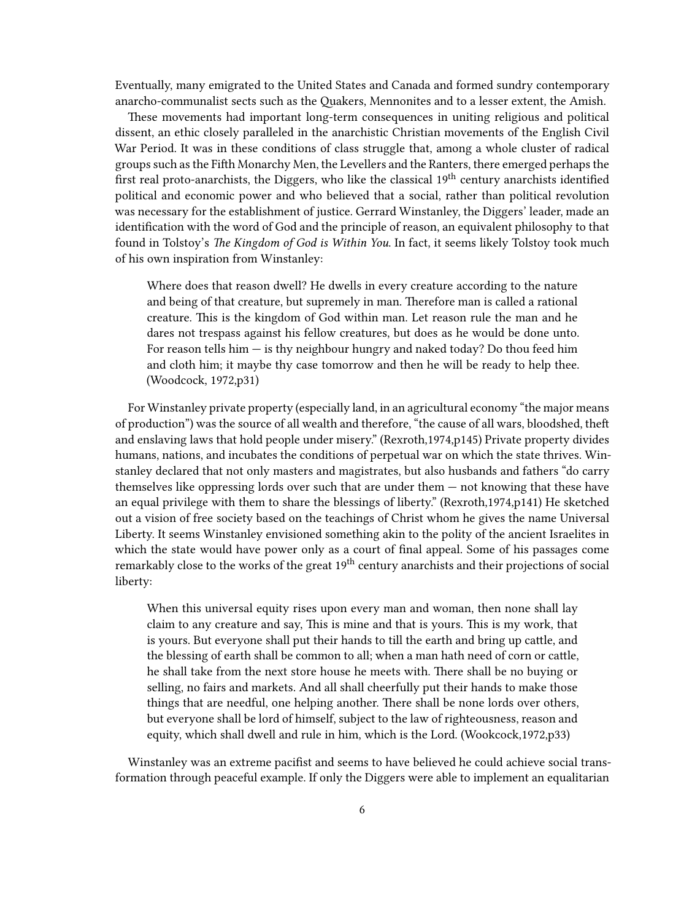Eventually, many emigrated to the United States and Canada and formed sundry contemporary anarcho-communalist sects such as the Quakers, Mennonites and to a lesser extent, the Amish.

These movements had important long-term consequences in uniting religious and political dissent, an ethic closely paralleled in the anarchistic Christian movements of the English Civil War Period. It was in these conditions of class struggle that, among a whole cluster of radical groups such as the Fifth Monarchy Men, the Levellers and the Ranters, there emerged perhaps the first real proto-anarchists, the Diggers, who like the classical  $19<sup>th</sup>$  century anarchists identified political and economic power and who believed that a social, rather than political revolution was necessary for the establishment of justice. Gerrard Winstanley, the Diggers' leader, made an identification with the word of God and the principle of reason, an equivalent philosophy to that found in Tolstoy's *The Kingdom of God is Within You*. In fact, it seems likely Tolstoy took much of his own inspiration from Winstanley:

Where does that reason dwell? He dwells in every creature according to the nature and being of that creature, but supremely in man. Therefore man is called a rational creature. This is the kingdom of God within man. Let reason rule the man and he dares not trespass against his fellow creatures, but does as he would be done unto. For reason tells him  $-$  is thy neighbour hungry and naked today? Do thou feed him and cloth him; it maybe thy case tomorrow and then he will be ready to help thee. (Woodcock, 1972,p31)

For Winstanley private property (especially land, in an agricultural economy "the major means of production") was the source of all wealth and therefore, "the cause of all wars, bloodshed, theft and enslaving laws that hold people under misery." (Rexroth,1974,p145) Private property divides humans, nations, and incubates the conditions of perpetual war on which the state thrives. Winstanley declared that not only masters and magistrates, but also husbands and fathers "do carry themselves like oppressing lords over such that are under them — not knowing that these have an equal privilege with them to share the blessings of liberty." (Rexroth,1974,p141) He sketched out a vision of free society based on the teachings of Christ whom he gives the name Universal Liberty. It seems Winstanley envisioned something akin to the polity of the ancient Israelites in which the state would have power only as a court of final appeal. Some of his passages come remarkably close to the works of the great 19<sup>th</sup> century anarchists and their projections of social liberty:

When this universal equity rises upon every man and woman, then none shall lay claim to any creature and say, This is mine and that is yours. This is my work, that is yours. But everyone shall put their hands to till the earth and bring up cattle, and the blessing of earth shall be common to all; when a man hath need of corn or cattle, he shall take from the next store house he meets with. There shall be no buying or selling, no fairs and markets. And all shall cheerfully put their hands to make those things that are needful, one helping another. There shall be none lords over others, but everyone shall be lord of himself, subject to the law of righteousness, reason and equity, which shall dwell and rule in him, which is the Lord. (Wookcock,1972,p33)

Winstanley was an extreme pacifist and seems to have believed he could achieve social transformation through peaceful example. If only the Diggers were able to implement an equalitarian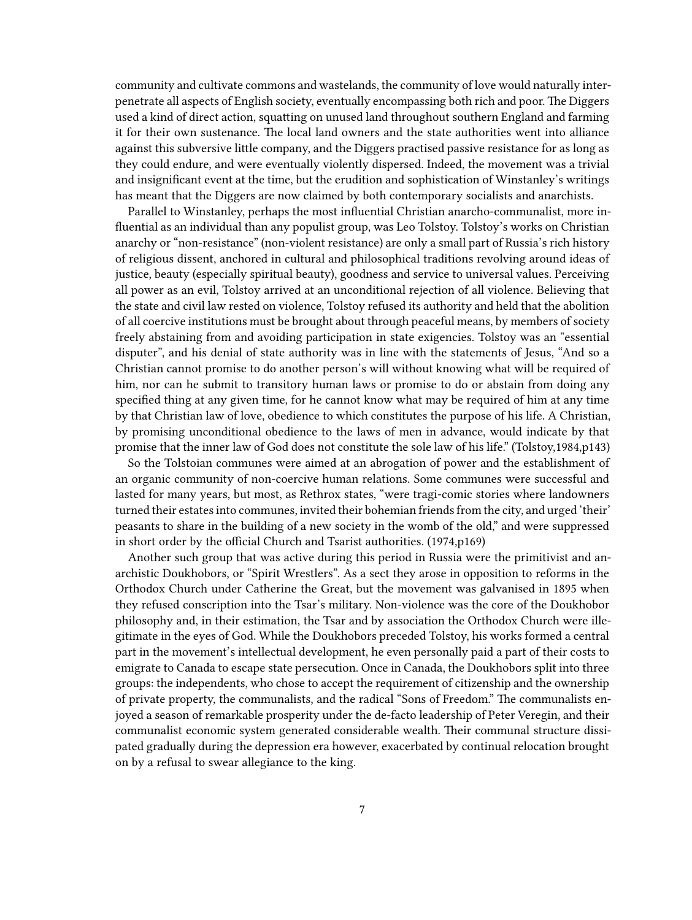community and cultivate commons and wastelands, the community of love would naturally interpenetrate all aspects of English society, eventually encompassing both rich and poor. The Diggers used a kind of direct action, squatting on unused land throughout southern England and farming it for their own sustenance. The local land owners and the state authorities went into alliance against this subversive little company, and the Diggers practised passive resistance for as long as they could endure, and were eventually violently dispersed. Indeed, the movement was a trivial and insignificant event at the time, but the erudition and sophistication of Winstanley's writings has meant that the Diggers are now claimed by both contemporary socialists and anarchists.

Parallel to Winstanley, perhaps the most influential Christian anarcho-communalist, more influential as an individual than any populist group, was Leo Tolstoy. Tolstoy's works on Christian anarchy or "non-resistance" (non-violent resistance) are only a small part of Russia's rich history of religious dissent, anchored in cultural and philosophical traditions revolving around ideas of justice, beauty (especially spiritual beauty), goodness and service to universal values. Perceiving all power as an evil, Tolstoy arrived at an unconditional rejection of all violence. Believing that the state and civil law rested on violence, Tolstoy refused its authority and held that the abolition of all coercive institutions must be brought about through peaceful means, by members of society freely abstaining from and avoiding participation in state exigencies. Tolstoy was an "essential disputer", and his denial of state authority was in line with the statements of Jesus, "And so a Christian cannot promise to do another person's will without knowing what will be required of him, nor can he submit to transitory human laws or promise to do or abstain from doing any specified thing at any given time, for he cannot know what may be required of him at any time by that Christian law of love, obedience to which constitutes the purpose of his life. A Christian, by promising unconditional obedience to the laws of men in advance, would indicate by that promise that the inner law of God does not constitute the sole law of his life." (Tolstoy,1984,p143)

So the Tolstoian communes were aimed at an abrogation of power and the establishment of an organic community of non-coercive human relations. Some communes were successful and lasted for many years, but most, as Rethrox states, "were tragi-comic stories where landowners turned their estates into communes, invited their bohemian friends from the city, and urged 'their' peasants to share in the building of a new society in the womb of the old," and were suppressed in short order by the official Church and Tsarist authorities. (1974,p169)

Another such group that was active during this period in Russia were the primitivist and anarchistic Doukhobors, or "Spirit Wrestlers". As a sect they arose in opposition to reforms in the Orthodox Church under Catherine the Great, but the movement was galvanised in 1895 when they refused conscription into the Tsar's military. Non-violence was the core of the Doukhobor philosophy and, in their estimation, the Tsar and by association the Orthodox Church were illegitimate in the eyes of God. While the Doukhobors preceded Tolstoy, his works formed a central part in the movement's intellectual development, he even personally paid a part of their costs to emigrate to Canada to escape state persecution. Once in Canada, the Doukhobors split into three groups: the independents, who chose to accept the requirement of citizenship and the ownership of private property, the communalists, and the radical "Sons of Freedom." The communalists enjoyed a season of remarkable prosperity under the de-facto leadership of Peter Veregin, and their communalist economic system generated considerable wealth. Their communal structure dissipated gradually during the depression era however, exacerbated by continual relocation brought on by a refusal to swear allegiance to the king.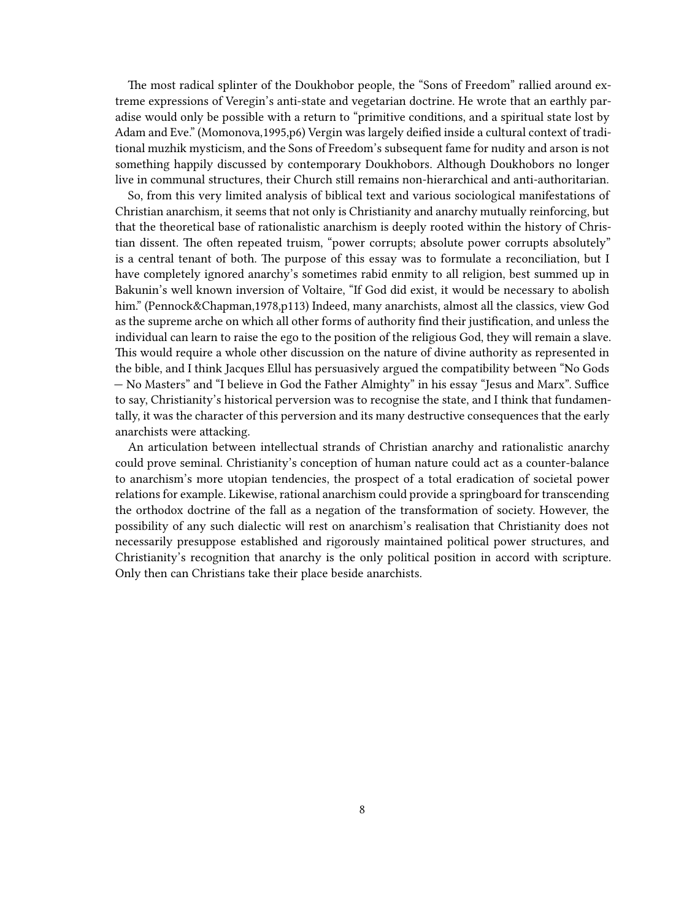The most radical splinter of the Doukhobor people, the "Sons of Freedom" rallied around extreme expressions of Veregin's anti-state and vegetarian doctrine. He wrote that an earthly paradise would only be possible with a return to "primitive conditions, and a spiritual state lost by Adam and Eve." (Momonova,1995,p6) Vergin was largely deified inside a cultural context of traditional muzhik mysticism, and the Sons of Freedom's subsequent fame for nudity and arson is not something happily discussed by contemporary Doukhobors. Although Doukhobors no longer live in communal structures, their Church still remains non-hierarchical and anti-authoritarian.

So, from this very limited analysis of biblical text and various sociological manifestations of Christian anarchism, it seems that not only is Christianity and anarchy mutually reinforcing, but that the theoretical base of rationalistic anarchism is deeply rooted within the history of Christian dissent. The often repeated truism, "power corrupts; absolute power corrupts absolutely" is a central tenant of both. The purpose of this essay was to formulate a reconciliation, but I have completely ignored anarchy's sometimes rabid enmity to all religion, best summed up in Bakunin's well known inversion of Voltaire, "If God did exist, it would be necessary to abolish him." (Pennock&Chapman,1978,p113) Indeed, many anarchists, almost all the classics, view God as the supreme arche on which all other forms of authority find their justification, and unless the individual can learn to raise the ego to the position of the religious God, they will remain a slave. This would require a whole other discussion on the nature of divine authority as represented in the bible, and I think Jacques Ellul has persuasively argued the compatibility between "No Gods — No Masters" and "I believe in God the Father Almighty" in his essay "Jesus and Marx". Suffice to say, Christianity's historical perversion was to recognise the state, and I think that fundamentally, it was the character of this perversion and its many destructive consequences that the early anarchists were attacking.

An articulation between intellectual strands of Christian anarchy and rationalistic anarchy could prove seminal. Christianity's conception of human nature could act as a counter-balance to anarchism's more utopian tendencies, the prospect of a total eradication of societal power relations for example. Likewise, rational anarchism could provide a springboard for transcending the orthodox doctrine of the fall as a negation of the transformation of society. However, the possibility of any such dialectic will rest on anarchism's realisation that Christianity does not necessarily presuppose established and rigorously maintained political power structures, and Christianity's recognition that anarchy is the only political position in accord with scripture. Only then can Christians take their place beside anarchists.